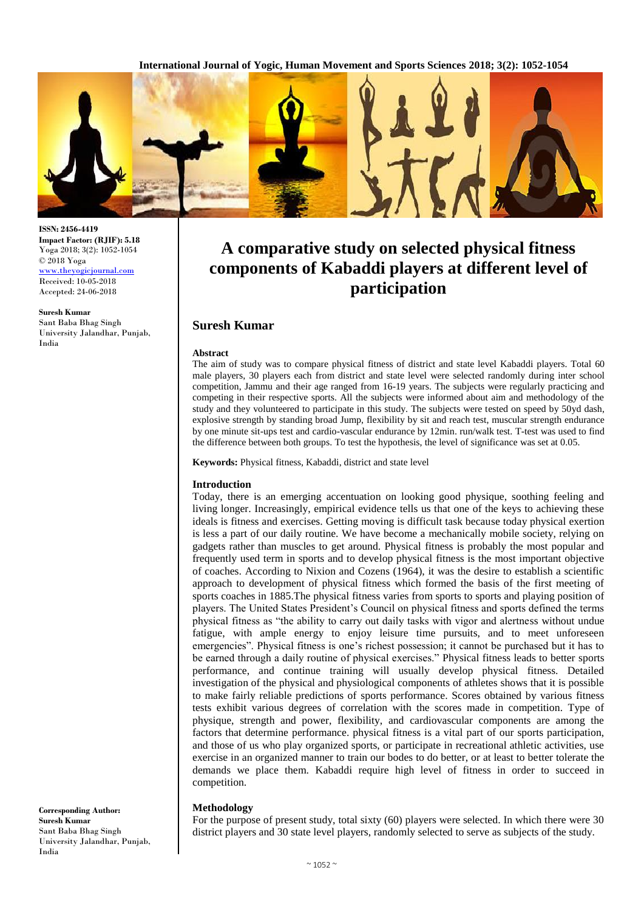**International Journal of Yogic, Human Movement and Sports Sciences 2018; 3(2): 1052-1054**



**ISSN: 2456-4419 Impact Factor: (RJIF): 5.18** Yoga 2018; 3(2): 1052-1054 © 2018 Yoga [www.theyogicjournal.com](http://www.theyogicjournal.com/) Received: 10-05-2018 Accepted: 24-06-2018

**Suresh Kumar** Sant Baba Bhag Singh University Jalandhar, Punjab, India

**A comparative study on selected physical fitness components of Kabaddi players at different level of participation**

## **Suresh Kumar**

#### **Abstract**

The aim of study was to compare physical fitness of district and state level Kabaddi players. Total 60 male players, 30 players each from district and state level were selected randomly during inter school competition, Jammu and their age ranged from 16-19 years. The subjects were regularly practicing and competing in their respective sports. All the subjects were informed about aim and methodology of the study and they volunteered to participate in this study. The subjects were tested on speed by 50yd dash, explosive strength by standing broad Jump, flexibility by sit and reach test, muscular strength endurance by one minute sit-ups test and cardio-vascular endurance by 12min. run/walk test. T-test was used to find the difference between both groups. To test the hypothesis, the level of significance was set at 0.05.

**Keywords:** Physical fitness, Kabaddi, district and state level

#### **Introduction**

Today, there is an emerging accentuation on looking good physique, soothing feeling and living longer. Increasingly, empirical evidence tells us that one of the keys to achieving these ideals is fitness and exercises. Getting moving is difficult task because today physical exertion is less a part of our daily routine. We have become a mechanically mobile society, relying on gadgets rather than muscles to get around. Physical fitness is probably the most popular and frequently used term in sports and to develop physical fitness is the most important objective of coaches. According to Nixion and Cozens (1964), it was the desire to establish a scientific approach to development of physical fitness which formed the basis of the first meeting of sports coaches in 1885.The physical fitness varies from sports to sports and playing position of players. The United States President's Council on physical fitness and sports defined the terms physical fitness as "the ability to carry out daily tasks with vigor and alertness without undue fatigue, with ample energy to enjoy leisure time pursuits, and to meet unforeseen emergencies". Physical fitness is one's richest possession; it cannot be purchased but it has to be earned through a daily routine of physical exercises." Physical fitness leads to better sports performance, and continue training will usually develop physical fitness. Detailed investigation of the physical and physiological components of athletes shows that it is possible to make fairly reliable predictions of sports performance. Scores obtained by various fitness tests exhibit various degrees of correlation with the scores made in competition. Type of physique, strength and power, flexibility, and cardiovascular components are among the factors that determine performance. physical fitness is a vital part of our sports participation, and those of us who play organized sports, or participate in recreational athletic activities, use exercise in an organized manner to train our bodes to do better, or at least to better tolerate the demands we place them. Kabaddi require high level of fitness in order to succeed in competition.

### **Methodology**

For the purpose of present study, total sixty (60) players were selected. In which there were 30 district players and 30 state level players, randomly selected to serve as subjects of the study.

**Corresponding Author: Suresh Kumar** Sant Baba Bhag Singh University Jalandhar, Punjab, India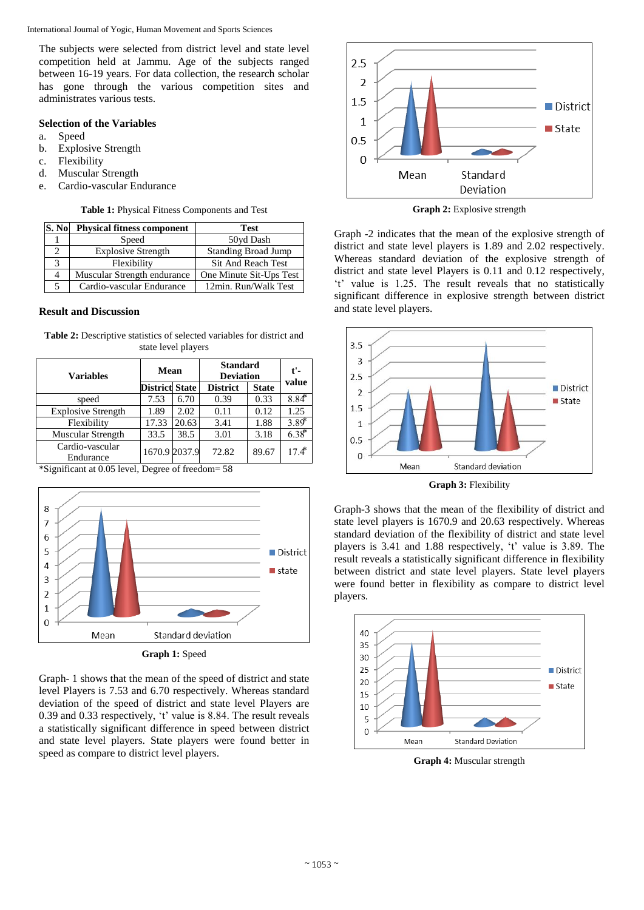International Journal of Yogic, Human Movement and Sports Sciences

The subjects were selected from district level and state level competition held at Jammu. Age of the subjects ranged between 16-19 years. For data collection, the research scholar has gone through the various competition sites and administrates various tests.

### **Selection of the Variables**

- a. Speed
- b. Explosive Strength
- c. Flexibility
- d. Muscular Strength
- e. Cardio-vascular Endurance

**Table 1:** Physical Fitness Components and Test

| S. No | <b>Physical fitness component</b> | <b>Test</b>                |  |
|-------|-----------------------------------|----------------------------|--|
|       | Speed                             | 50yd Dash                  |  |
|       | <b>Explosive Strength</b>         | <b>Standing Broad Jump</b> |  |
|       | Flexibility                       | Sit And Reach Test         |  |
| 4     | Muscular Strength endurance       | One Minute Sit-Ups Test    |  |
|       | Cardio-vascular Endurance         | 12min. Run/Walk Test       |  |

### **Result and Discussion**

| <b>Table 2:</b> Descriptive statistics of selected variables for district and |  |  |  |
|-------------------------------------------------------------------------------|--|--|--|
| state level players                                                           |  |  |  |

| <b>Variables</b>             | Mean                  |       | <b>Standard</b><br><b>Deviation</b> |              | $t'$ -<br>value     |
|------------------------------|-----------------------|-------|-------------------------------------|--------------|---------------------|
|                              | <b>District State</b> |       | <b>District</b>                     | <b>State</b> |                     |
| speed                        | 7.53                  | 6.70  | 0.39                                | 0.33         | $8.84*$             |
| <b>Explosive Strength</b>    | 1.89                  | 2.02  | 0.11                                | 0.12         | 1.25                |
| Flexibility                  | 17.33                 | 20.63 | 3.41                                | 1.88         | $3.89$ <sup>*</sup> |
| Muscular Strength            | 33.5                  | 38.5  | 3.01                                | 3.18         | $6.38*$             |
| Cardio-vascular<br>Endurance | 1670.9 2037.9         |       | 72.82                               | 89.67        | $17.4^*$            |

\*Significant at 0.05 level*,* Degree of freedom= 58



Graph- 1 shows that the mean of the speed of district and state level Players is 7.53 and 6.70 respectively. Whereas standard deviation of the speed of district and state level Players are 0.39 and 0.33 respectively, 't' value is 8.84. The result reveals a statistically significant difference in speed between district and state level players. State players were found better in speed as compare to district level players.



**Graph 2:** Explosive strength

Graph -2 indicates that the mean of the explosive strength of district and state level players is 1.89 and 2.02 respectively. Whereas standard deviation of the explosive strength of district and state level Players is 0.11 and 0.12 respectively, 't' value is 1.25. The result reveals that no statistically significant difference in explosive strength between district and state level players.



**Graph 3:** Flexibility

Graph-3 shows that the mean of the flexibility of district and state level players is 1670.9 and 20.63 respectively. Whereas standard deviation of the flexibility of district and state level players is 3.41 and 1.88 respectively, 't' value is 3.89. The result reveals a statistically significant difference in flexibility between district and state level players. State level players were found better in flexibility as compare to district level players.



**Graph 4:** Muscular strength